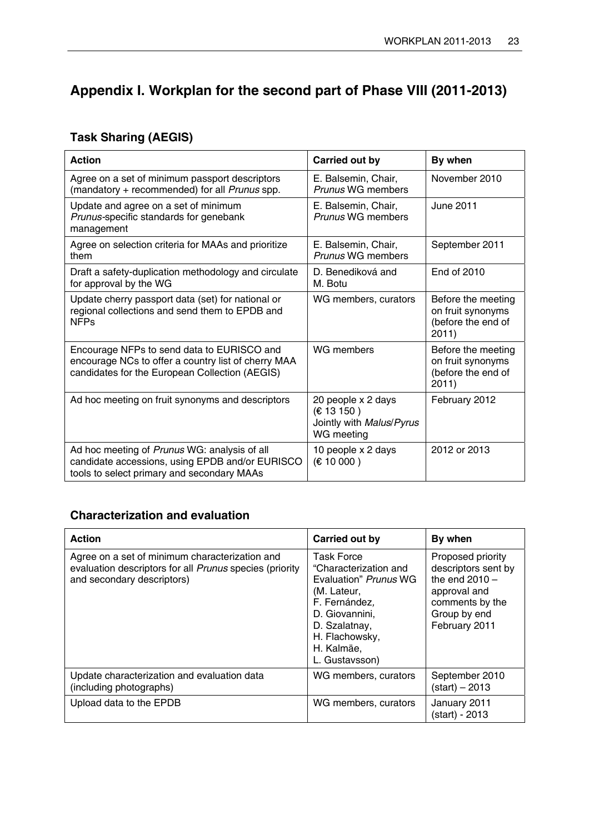## **Appendix I. Workplan for the second part of Phase VIII (2011-2013)**

## **Task Sharing (AEGIS)**

| <b>Action</b>                                                                                                                                       | Carried out by                                                            | By when                                                                |
|-----------------------------------------------------------------------------------------------------------------------------------------------------|---------------------------------------------------------------------------|------------------------------------------------------------------------|
| Agree on a set of minimum passport descriptors<br>(mandatory + recommended) for all Prunus spp.                                                     | E. Balsemin, Chair,<br>Prunus WG members                                  | November 2010                                                          |
| Update and agree on a set of minimum<br>Prunus-specific standards for genebank<br>management                                                        | E. Balsemin, Chair,<br>Prunus WG members                                  | June 2011                                                              |
| Agree on selection criteria for MAAs and prioritize<br>them                                                                                         | E. Balsemin, Chair,<br>Prunus WG members                                  | September 2011                                                         |
| Draft a safety-duplication methodology and circulate<br>for approval by the WG                                                                      | D. Benediková and<br>M. Botu                                              | End of 2010                                                            |
| Update cherry passport data (set) for national or<br>regional collections and send them to EPDB and<br><b>NFPs</b>                                  | WG members, curators                                                      | Before the meeting<br>on fruit synonyms<br>(before the end of<br>2011) |
| Encourage NFPs to send data to EURISCO and<br>encourage NCs to offer a country list of cherry MAA<br>candidates for the European Collection (AEGIS) | <b>WG</b> members                                                         | Before the meeting<br>on fruit synonyms<br>(before the end of<br>2011) |
| Ad hoc meeting on fruit synonyms and descriptors                                                                                                    | 20 people x 2 days<br>€ 13 150)<br>Jointly with Malus/Pyrus<br>WG meeting | February 2012                                                          |
| Ad hoc meeting of Prunus WG: analysis of all<br>candidate accessions, using EPDB and/or EURISCO<br>tools to select primary and secondary MAAs       | 10 people x 2 days<br>€ 10000)                                            | 2012 or 2013                                                           |

## **Characterization and evaluation**

| <b>Action</b>                                                                                                                           | Carried out by                                                                                                                                                                           | By when                                                                                                                          |
|-----------------------------------------------------------------------------------------------------------------------------------------|------------------------------------------------------------------------------------------------------------------------------------------------------------------------------------------|----------------------------------------------------------------------------------------------------------------------------------|
| Agree on a set of minimum characterization and<br>evaluation descriptors for all Prunus species (priority<br>and secondary descriptors) | <b>Task Force</b><br>"Characterization and<br>Evaluation" Prunus WG<br>(M. Lateur,<br>F. Fernández,<br>D. Giovannini.<br>D. Szalatnay,<br>H. Flachowsky,<br>H. Kalmäe,<br>L. Gustavsson) | Proposed priority<br>descriptors sent by<br>the end $2010 -$<br>approval and<br>comments by the<br>Group by end<br>February 2011 |
| Update characterization and evaluation data<br>(including photographs)                                                                  | WG members, curators                                                                                                                                                                     | September 2010<br>$(stat) - 2013$                                                                                                |
| Upload data to the EPDB                                                                                                                 | WG members, curators                                                                                                                                                                     | January 2011<br>(start) - 2013                                                                                                   |